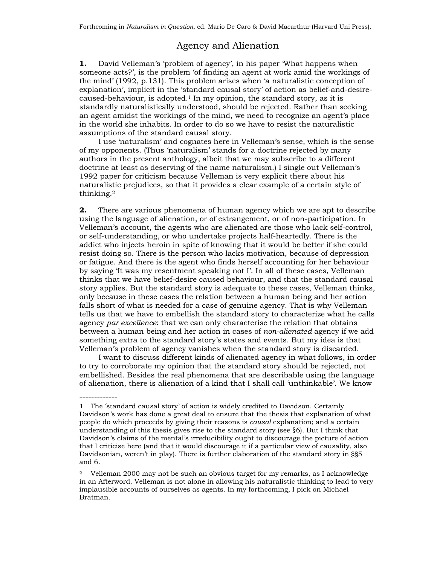## Agency and Alienation

**1.** David Velleman's 'problem of agency', in his paper 'What happens when someone acts?', is the problem 'of finding an agent at work amid the workings of the mind' (1992, p.131). This problem arises when 'a naturalistic conception of explanation', implicit in the 'standard causal story' of action as belief-and-desirecaused-behaviour, is adopted. $1$  In my opinion, the standard story, as it is standardly naturalistically understood, should be rejected. Rather than seeking an agent amidst the workings of the mind, we need to recognize an agent's place in the world she inhabits. In order to do so we have to resist the naturalistic assumptions of the standard causal story.

I use 'naturalism' and cognates here in Velleman's sense, which is the sense of my opponents. (Thus 'naturalism' stands for a doctrine rejected by many authors in the present anthology, albeit that we may subscribe to a different doctrine at least as deserving of the name naturalism.) I single out Velleman's 1992 paper for criticism because Velleman is very explicit there about his naturalistic prejudices, so that it provides a clear example of a certain style of thinking.2

**2.** There are various phenomena of human agency which we are apt to describe using the language of alienation, or of estrangement, or of non-participation. In Velleman's account, the agents who are alienated are those who lack self-control, or self-understanding, or who undertake projects half-heartedly. There is the addict who injects heroin in spite of knowing that it would be better if she could resist doing so. There is the person who lacks motivation, because of depression or fatigue. And there is the agent who finds herself accounting for her behaviour by saying 'It was my resentment speaking not I'. In all of these cases, Velleman thinks that we have belief-desire caused behaviour, and that the standard causal story applies. But the standard story is adequate to these cases, Velleman thinks, only because in these cases the relation between a human being and her action falls short of what is needed for a case of genuine agency. That is why Velleman tells us that we have to embellish the standard story to characterize what he calls agency *par excellence*: that we can only characterise the relation that obtains between a human being and her action in cases of *non-alienated* agency if we add something extra to the standard story's states and events. But my idea is that Velleman's problem of agency vanishes when the standard story is discarded.

I want to discuss different kinds of alienated agency in what follows, in order to try to corroborate my opinion that the standard story should be rejected, not embellished. Besides the real phenomena that are describable using the language of alienation, there is alienation of a kind that I shall call 'unthinkable'. We know

<sup>1</sup> The 'standard causal story' of action is widely credited to Davidson. Certainly Davidson's work has done a great deal to ensure that the thesis that explanation of what people do which proceeds by giving their reasons is *causal* explanation; and a certain understanding of this thesis gives rise to the standard story (see §6). But I think that Davidson's claims of the mental's irreducibility ought to discourage the picture of action that I criticise here (and that it would discourage it if a particular view of causality, also Davidsonian, weren't in play). There is further elaboration of the standard story in §§5 and 6.

<sup>2</sup> Velleman 2000 may not be such an obvious target for my remarks, as I acknowledge in an Afterword. Velleman is not alone in allowing his naturalistic thinking to lead to very implausible accounts of ourselves as agents. In my forthcoming, I pick on Michael Bratman.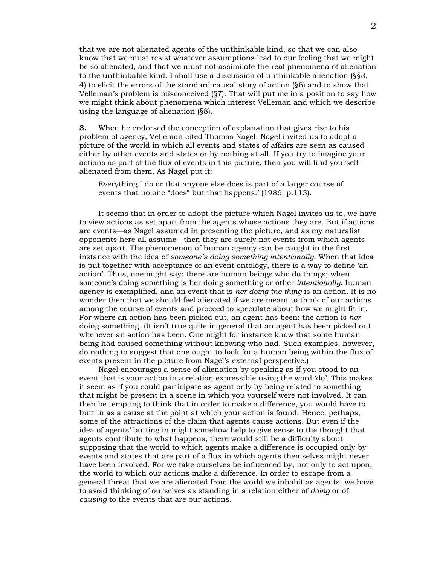that we are not alienated agents of the unthinkable kind, so that we can also know that we must resist whatever assumptions lead to our feeling that we might be so alienated, and that we must not assimilate the real phenomena of alienation to the unthinkable kind. I shall use a discussion of unthinkable alienation (§§3, 4) to elicit the errors of the standard causal story of action (§6) and to show that Velleman's problem is misconceived (§7). That will put me in a position to say how we might think about phenomena which interest Velleman and which we describe using the language of alienation (§8).

**3.** When he endorsed the conception of explanation that gives rise to his problem of agency, Velleman cited Thomas Nagel. Nagel invited us to adopt a picture of the world in which all events and states of affairs are seen as caused either by other events and states or by nothing at all. If you try to imagine your actions as part of the flux of events in this picture, then you will find yourself alienated from them. As Nagel put it:

Everything I do or that anyone else does is part of a larger course of events that no one "does" but that happens.' (1986, p.113).

It seems that in order to adopt the picture which Nagel invites us to, we have to view actions as set apart from the agents whose actions they are. But if actions are events—as Nagel assumed in presenting the picture, and as my naturalist opponents here all assume—then they are surely not events from which agents are set apart. The phenomenon of human agency can be caught in the first instance with the idea of *someone's doing something intentionally*. When that idea is put together with acceptance of an event ontology, there is a way to define 'an action'. Thus, one might say: there are human beings who do things; when someone's doing something is her doing something or other *intentionally*, human agency is exemplified, and an event that is *her doing the thing* is an action. It is no wonder then that we should feel alienated if we are meant to think of our actions among the course of events and proceed to speculate about how we might fit in. For where an action has been picked out, an agent has been: the action is *her* doing something. (It isn't true quite in general that an agent has been picked out whenever an action has been. One might for instance know that some human being had caused something without knowing who had. Such examples, however, do nothing to suggest that one ought to look for a human being within the flux of events present in the picture from Nagel's external perspective.)

Nagel encourages a sense of alienation by speaking as if you stood to an event that is your action in a relation expressible using the word 'do'. This makes it seem as if you could participate as agent only by being related to something that might be present in a scene in which you yourself were not involved. It can then be tempting to think that in order to make a difference, you would have to butt in as a cause at the point at which your action is found. Hence, perhaps, some of the attractions of the claim that agents cause actions. But even if the idea of agents' butting in might somehow help to give sense to the thought that agents contribute to what happens, there would still be a difficulty about supposing that the world to which agents make a difference is occupied only by events and states that are part of a flux in which agents themselves might never have been involved. For we take ourselves be influenced by, not only to act upon, the world to which our actions make a difference. In order to escape from a general threat that we are alienated from the world we inhabit as agents, we have to avoid thinking of ourselves as standing in a relation either of *doing* or of *causing* to the events that are our actions.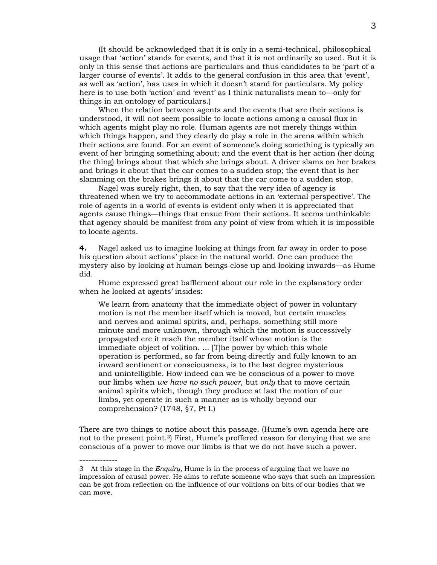(It should be acknowledged that it is only in a semi-technical, philosophical usage that 'action' stands for events, and that it is not ordinarily so used. But it is only in this sense that actions are particulars and thus candidates to be 'part of a larger course of events'. It adds to the general confusion in this area that 'event', as well as 'action', has uses in which it doesn't stand for particulars. My policy here is to use both 'action' and 'event' as I think naturalists mean to—only for things in an ontology of particulars.)

When the relation between agents and the events that are their actions is understood, it will not seem possible to locate actions among a causal flux in which agents might play no role. Human agents are not merely things within which things happen, and they clearly do play a role in the arena within which their actions are found. For an event of someone's doing something is typically an event of her bringing something about; and the event that is her action (her doing the thing) brings about that which she brings about. A driver slams on her brakes and brings it about that the car comes to a sudden stop; the event that is her slamming on the brakes brings it about that the car come to a sudden stop.

Nagel was surely right, then, to say that the very idea of agency is threatened when we try to accommodate actions in an 'external perspective'. The role of agents in a world of events is evident only when it is appreciated that agents cause things—things that ensue from their actions. It seems unthinkable that agency should be manifest from any point of view from which it is impossible to locate agents.

**4.** Nagel asked us to imagine looking at things from far away in order to pose his question about actions' place in the natural world. One can produce the mystery also by looking at human beings close up and looking inwards—as Hume did.

Hume expressed great bafflement about our role in the explanatory order when he looked at agents' insides:

We learn from anatomy that the immediate object of power in voluntary motion is not the member itself which is moved, but certain muscles and nerves and animal spirits, and, perhaps, something still more minute and more unknown, through which the motion is successively propagated ere it reach the member itself whose motion is the immediate object of volition. ... [T]he power by which this whole operation is performed, so far from being directly and fully known to an inward sentiment or consciousness, is to the last degree mysterious and unintelligible. How indeed can we be conscious of a power to move our limbs when *we have no such power*, but *only* that to move certain animal spirits which, though they produce at last the motion of our limbs, yet operate in such a manner as is wholly beyond our comprehension? (1748, §7, Pt I.)

There are two things to notice about this passage. (Hume's own agenda here are not to the present point.3) First, Hume's proffered reason for denying that we are conscious of a power to move our limbs is that we do not have such a power.

------------- 3 At this stage in the *Enquiry,* Hume is in the process of arguing that we have no impression of causal power. He aims to refute someone who says that such an impression can be got from reflection on the influence of our volitions on bits of our bodies that we can move.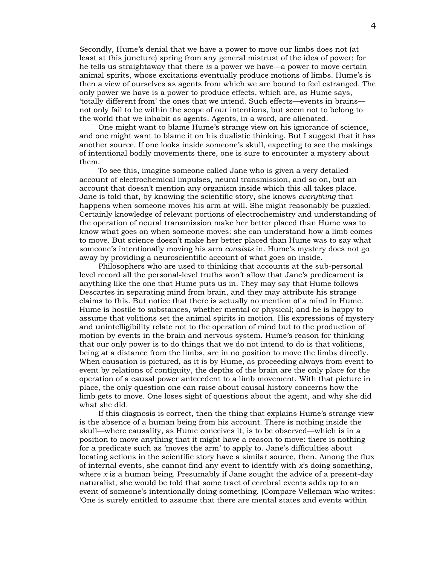Secondly, Hume's denial that we have a power to move our limbs does not (at least at this juncture) spring from any general mistrust of the idea of power; for he tells us straightaway that there *is* a power we have—a power to move certain animal spirits, whose excitations eventually produce motions of limbs. Hume's is then a view of ourselves as agents from which we are bound to feel estranged. The only power we have is a power to produce effects, which are, as Hume says, 'totally different from' the ones that we intend. Such effects—events in brains not only fail to be within the scope of our intentions, but seem not to belong to the world that we inhabit as agents. Agents, in a word, are alienated.

One might want to blame Hume's strange view on his ignorance of science, and one might want to blame it on his dualistic thinking. But I suggest that it has another source. If one looks inside someone's skull, expecting to see the makings of intentional bodily movements there, one is sure to encounter a mystery about them.

To see this, imagine someone called Jane who is given a very detailed account of electrochemical impulses, neural transmission, and so on, but an account that doesn't mention any organism inside which this all takes place. Jane is told that, by knowing the scientific story, she knows *everything* that happens when someone moves his arm at will. She might reasonably be puzzled. Certainly knowledge of relevant portions of electrochemistry and understanding of the operation of neural transmission make her better placed than Hume was to know what goes on when someone moves: she can understand how a limb comes to move. But science doesn't make her better placed than Hume was to say what someone's intentionally moving his arm *consists* in. Hume's mystery does not go away by providing a neuroscientific account of what goes on inside.

Philosophers who are used to thinking that accounts at the sub-personal level record all the personal-level truths won't allow that Jane's predicament is anything like the one that Hume puts us in. They may say that Hume follows Descartes in separating mind from brain, and they may attribute his strange claims to this. But notice that there is actually no mention of a mind in Hume. Hume is hostile to substances, whether mental or physical; and he is happy to assume that volitions set the animal spirits in motion. His expressions of mystery and unintelligibility relate not to the operation of mind but to the production of motion by events in the brain and nervous system. Hume's reason for thinking that our only power is to do things that we do not intend to do is that volitions, being at a distance from the limbs, are in no position to move the limbs directly. When causation is pictured, as it is by Hume, as proceeding always from event to event by relations of contiguity, the depths of the brain are the only place for the operation of a causal power antecedent to a limb movement. With that picture in place, the only question one can raise about causal history concerns how the limb gets to move. One loses sight of questions about the agent, and why she did what she did.

If this diagnosis is correct, then the thing that explains Hume's strange view is the absence of a human being from his account. There is nothing inside the skull—where causality, as Hume conceives it, is to be observed—which is in a position to move anything that it might have a reason to move: there is nothing for a predicate such as 'moves the arm' to apply to. Jane's difficulties about locating actions in the scientific story have a similar source, then. Among the flux of internal events, she cannot find any event to identify with *x*'s doing something, where *x* is a human being. Presumably if Jane sought the advice of a present-day naturalist, she would be told that some tract of cerebral events adds up to an event of someone's intentionally doing something. (Compare Velleman who writes: 'One is surely entitled to assume that there are mental states and events within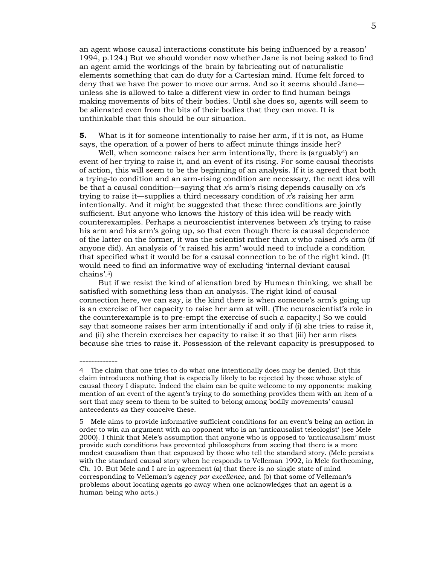an agent whose causal interactions constitute his being influenced by a reason' 1994, p.124.) But we should wonder now whether Jane is not being asked to find an agent amid the workings of the brain by fabricating out of naturalistic elements something that can do duty for a Cartesian mind. Hume felt forced to deny that we have the power to move our arms. And so it seems should Jane unless she is allowed to take a different view in order to find human beings making movements of bits of their bodies. Until she does so, agents will seem to be alienated even from the bits of their bodies that they can move. It is unthinkable that this should be our situation.

**5.** What is it for someone intentionally to raise her arm, if it is not, as Hume says, the operation of a power of hers to affect minute things inside her?

Well, when someone raises her arm intentionally, there is (arguably<sup>4</sup>) an event of her trying to raise it, and an event of its rising. For some causal theorists of action, this will seem to be the beginning of an analysis. If it is agreed that both a trying-to condition and an arm-rising condition are necessary, the next idea will be that a causal condition—saying that *x*'s arm's rising depends causally on *x*'s trying to raise it—supplies a third necessary condition of *x*'s raising her arm intentionally. And it might be suggested that these three conditions are jointly sufficient. But anyone who knows the history of this idea will be ready with counterexamples. Perhaps a neuroscientist intervenes between *x*'s trying to raise his arm and his arm's going up, so that even though there is causal dependence of the latter on the former, it was the scientist rather than *x* who raised *x*'s arm (if anyone did). An analysis of '*x* raised his arm' would need to include a condition that specified what it would be for a causal connection to be of the right kind. (It would need to find an informative way of excluding 'internal deviant causal chains'.5)

But if we resist the kind of alienation bred by Humean thinking, we shall be satisfied with something less than an analysis. The right kind of causal connection here, we can say, is the kind there is when someone's arm's going up is an exercise of her capacity to raise her arm at will. (The neuroscientist's role in the counterexample is to pre-empt the exercise of such a capacity.) So we could say that someone raises her arm intentionally if and only if (i) she tries to raise it, and (ii) she therein exercises her capacity to raise it so that (iii) her arm rises because she tries to raise it. Possession of the relevant capacity is presupposed to

------------- 4 The claim that one tries to do what one intentionally does may be denied. But this claim introduces nothing that is especially likely to be rejected by those whose style of causal theory I dispute. Indeed the claim can be quite welcome to my opponents: making mention of an event of the agent's trying to do something provides them with an item of a sort that may seem to them to be suited to belong among bodily movements' causal antecedents as they conceive these.

5 Mele aims to provide informative sufficient conditions for an event's being an action in order to win an argument with an opponent who is an 'anticausalist teleologist' (see Mele 2000). I think that Mele's assumption that anyone who is opposed to 'anticausalism' must provide such conditions has prevented philosophers from seeing that there is a more modest causalism than that espoused by those who tell the standard story. (Mele persists with the standard causal story when he responds to Velleman 1992, in Mele forthcoming, Ch. 10. But Mele and I are in agreement (a) that there is no single state of mind corresponding to Velleman's agency *par excellence*, and (b) that some of Velleman's problems about locating agents go away when one acknowledges that an agent is a human being who acts.)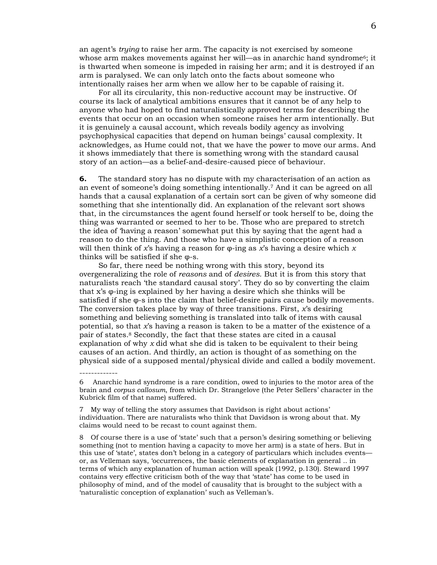an agent's *trying* to raise her arm. The capacity is not exercised by someone whose arm makes movements against her will—as in anarchic hand syndrome<sup>6</sup>; it is thwarted when someone is impeded in raising her arm; and it is destroyed if an arm is paralysed. We can only latch onto the facts about someone who intentionally raises her arm when we allow her to be capable of raising it.

For all its circularity, this non-reductive account may be instructive. Of course its lack of analytical ambitions ensures that it cannot be of any help to anyone who had hoped to find naturalistically approved terms for describing the events that occur on an occasion when someone raises her arm intentionally. But it is genuinely a causal account, which reveals bodily agency as involving psychophysical capacities that depend on human beings' causal complexity. It acknowledges, as Hume could not, that we have the power to move our arms. And it shows immediately that there is something wrong with the standard causal story of an action—as a belief-and-desire-caused piece of behaviour.

**6.** The standard story has no dispute with my characterisation of an action as an event of someone's doing something intentionally.7 And it can be agreed on all hands that a causal explanation of a certain sort can be given of why someone did something that she intentionally did. An explanation of the relevant sort shows that, in the circumstances the agent found herself or took herself to be, doing the thing was warranted or seemed to her to be. Those who are prepared to stretch the idea of 'having a reason' somewhat put this by saying that the agent had a reason to do the thing. And those who have a simplistic conception of a reason will then think of *x*'s having a reason for φ-ing as *x*'s having a desire which *x* thinks will be satisfied if she φ-s.

So far, there need be nothing wrong with this story, beyond its overgeneralizing the role of *reasons* and of *desires*. But it is from this story that naturalists reach 'the standard causal story'. They do so by converting the claim that x's φ-ing is explained by her having a desire which she thinks will be satisfied if she  $\varphi$ -s into the claim that belief-desire pairs cause bodily movements. The conversion takes place by way of three transitions. First, *x*'s desiring something and believing something is translated into talk of items with causal potential, so that *x*'s having a reason is taken to be a matter of the existence of a pair of states.8 Secondly, the fact that these states are cited in a causal explanation of why *x* did what she did is taken to be equivalent to their being causes of an action. And thirdly, an action is thought of as something on the physical side of a supposed mental/physical divide and called a bodily movement.

<sup>6</sup> Anarchic hand syndrome is a rare condition, owed to injuries to the motor area of the brain and *corpus callosum*, from which Dr. Strangelove (the Peter Sellers' character in the Kubrick film of that name) suffered.

<sup>7</sup> My way of telling the story assumes that Davidson is right about actions' individuation. There are naturalists who think that Davidson is wrong about that. My claims would need to be recast to count against them.

<sup>8</sup> Of course there is a use of 'state' such that a person's desiring something or believing something (not to mention having a capacity to move her arm) is a state of hers. But in this use of 'state', states don't belong in a category of particulars which includes events or, as Velleman says, 'occurrences, the basic elements of explanation in general .. in terms of which any explanation of human action will speak (1992, p.130). Steward 1997 contains very effective criticism both of the way that 'state' has come to be used in philosophy of mind, and of the model of causality that is brought to the subject with a 'naturalistic conception of explanation' such as Velleman's.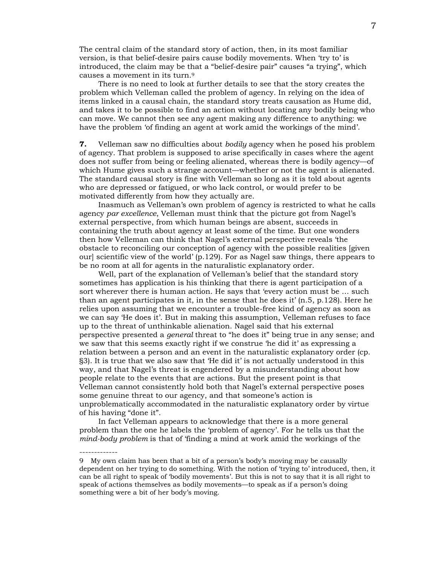The central claim of the standard story of action, then, in its most familiar version, is that belief-desire pairs cause bodily movements. When 'try to' is introduced, the claim may be that a "belief-desire pair" causes "a trying", which causes a movement in its turn.9

There is no need to look at further details to see that the story creates the problem which Velleman called the problem of agency. In relying on the idea of items linked in a causal chain, the standard story treats causation as Hume did, and takes it to be possible to find an action without locating any bodily being who can move. We cannot then see any agent making any difference to anything: we have the problem 'of finding an agent at work amid the workings of the mind'.

**7.** Velleman saw no difficulties about *bodily* agency when he posed his problem of agency. That problem is supposed to arise specifically in cases where the agent does not suffer from being or feeling alienated, whereas there is bodily agency—of which Hume gives such a strange account—whether or not the agent is alienated. The standard causal story is fine with Velleman so long as it is told about agents who are depressed or fatigued, or who lack control, or would prefer to be motivated differently from how they actually are.

Inasmuch as Velleman's own problem of agency is restricted to what he calls agency *par excellence*, Velleman must think that the picture got from Nagel's external perspective, from which human beings are absent, succeeds in containing the truth about agency at least some of the time. But one wonders then how Velleman can think that Nagel's external perspective reveals 'the obstacle to reconciling our conception of agency with the possible realities [given our] scientific view of the world'  $(p.129)$ . For as Nagel saw things, there appears to be no room at all for agents in the naturalistic explanatory order.

Well, part of the explanation of Velleman's belief that the standard story sometimes has application is his thinking that there is agent participation of a sort wherever there is human action. He says that 'every action must be … such than an agent participates in it, in the sense that he does it' (n.5, p.128). Here he relies upon assuming that we encounter a trouble-free kind of agency as soon as we can say 'He does it'. But in making this assumption, Velleman refuses to face up to the threat of unthinkable alienation. Nagel said that his external perspective presented a *general* threat to "he does it" being true in any sense; and we saw that this seems exactly right if we construe 'he did it' as expressing a relation between a person and an event in the naturalistic explanatory order (cp. §3). It is true that we also saw that 'He did it' is not actually understood in this way, and that Nagel's threat is engendered by a misunderstanding about how people relate to the events that are actions. But the present point is that Velleman cannot consistently hold both that Nagel's external perspective poses some genuine threat to our agency, and that someone's action is unproblematically accommodated in the naturalistic explanatory order by virtue of his having "done it".

In fact Velleman appears to acknowledge that there is a more general problem than the one he labels the 'problem of agency'. For he tells us that the *mind-body problem* is that of 'finding a mind at work amid the workings of the

<sup>9</sup> My own claim has been that a bit of a person's body's moving may be causally dependent on her trying to do something. With the notion of 'trying to' introduced, then, it can be all right to speak of 'bodily movements'. But this is not to say that it is all right to speak of actions themselves as bodily movements—to speak as if a person's doing something were a bit of her body's moving.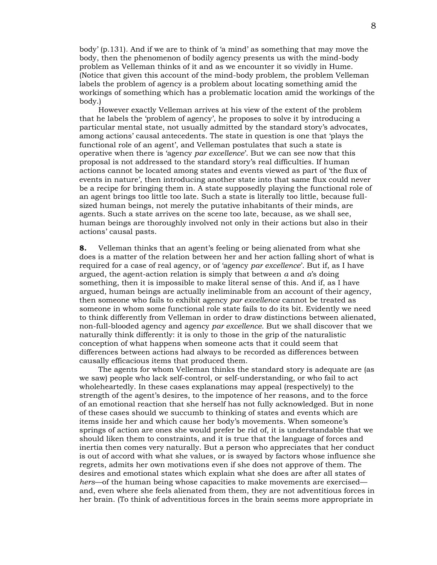body' (p.131). And if we are to think of 'a mind' as something that may move the body, then the phenomenon of bodily agency presents us with the mind-body problem as Velleman thinks of it and as we encounter it so vividly in Hume. (Notice that given this account of the mind-body problem, the problem Velleman labels the problem of agency is a problem about locating something amid the workings of something which has a problematic location amid the workings of the body.)

However exactly Velleman arrives at his view of the extent of the problem that he labels the 'problem of agency', he proposes to solve it by introducing a particular mental state, not usually admitted by the standard story's advocates, among actions' causal antecedents. The state in question is one that 'plays the functional role of an agent', and Velleman postulates that such a state is operative when there is 'agency *par excellence*'. But we can see now that this proposal is not addressed to the standard story's real difficulties. If human actions cannot be located among states and events viewed as part of 'the flux of events in nature', then introducing another state into that same flux could never be a recipe for bringing them in. A state supposedly playing the functional role of an agent brings too little too late. Such a state is literally too little, because fullsized human beings, not merely the putative inhabitants of their minds, are agents. Such a state arrives on the scene too late, because, as we shall see, human beings are thoroughly involved not only in their actions but also in their actions' causal pasts.

**8.** Velleman thinks that an agent's feeling or being alienated from what she does is a matter of the relation between her and her action falling short of what is required for a case of real agency, or of 'agency *par excellence*'. But if, as I have argued, the agent-action relation is simply that between *a* and *a*'s doing something, then it is impossible to make literal sense of this. And if, as I have argued, human beings are actually ineliminable from an account of their agency, then someone who fails to exhibit agency *par excellence* cannot be treated as someone in whom some functional role state fails to do its bit. Evidently we need to think differently from Velleman in order to draw distinctions between alienated, non-full-blooded agency and agency *par excellence*. But we shall discover that we naturally think differently: it is only to those in the grip of the naturalistic conception of what happens when someone acts that it could seem that differences between actions had always to be recorded as differences between causally efficacious items that produced them.

The agents for whom Velleman thinks the standard story is adequate are (as we saw) people who lack self-control, or self-understanding, or who fail to act wholeheartedly. In these cases explanations may appeal (respectively) to the strength of the agent's desires, to the impotence of her reasons, and to the force of an emotional reaction that she herself has not fully acknowledged. But in none of these cases should we succumb to thinking of states and events which are items inside her and which cause her body's movements. When someone's springs of action are ones she would prefer be rid of, it is understandable that we should liken them to constraints, and it is true that the language of forces and inertia then comes very naturally. But a person who appreciates that her conduct is out of accord with what she values, or is swayed by factors whose influence she regrets, admits her own motivations even if she does not approve of them. The desires and emotional states which explain what she does are after all states of *hers*—of the human being whose capacities to make movements are exercised and, even where she feels alienated from them, they are not adventitious forces in her brain. (To think of adventitious forces in the brain seems more appropriate in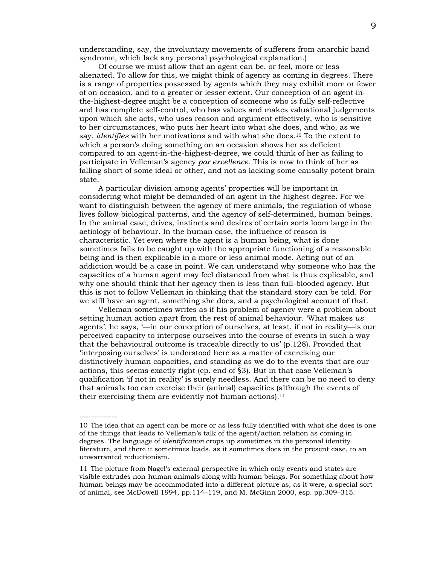understanding, say, the involuntary movements of sufferers from anarchic hand syndrome, which lack any personal psychological explanation.)

Of course we must allow that an agent can be, or feel, more or less alienated. To allow for this, we might think of agency as coming in degrees. There is a range of properties possessed by agents which they may exhibit more or fewer of on occasion, and to a greater or lesser extent. Our conception of an agent*-*inthe-highest-degree might be a conception of someone who is fully self-reflective and has complete self-control, who has values and makes valuational judgements upon which she acts, who uses reason and argument effectively, who is sensitive to her circumstances, who puts her heart into what she does, and who, as we say, *identifies* with her motivations and with what she does.10 To the extent to which a person's doing something on an occasion shows her as deficient compared to an agent*-*in-the-highest-degree, we could think of her as failing to participate in Velleman's agency *par excellence*. This is now to think of her as falling short of some ideal or other, and not as lacking some causally potent brain state.

A particular division among agents' properties will be important in considering what might be demanded of an agent in the highest degree. For we want to distinguish between the agency of mere animals, the regulation of whose lives follow biological patterns, and the agency of self-determined, human beings. In the animal case, drives, instincts and desires of certain sorts loom large in the aetiology of behaviour. In the human case, the influence of reason is characteristic. Yet even where the agent is a human being, what is done sometimes fails to be caught up with the appropriate functioning of a reasonable being and is then explicable in a more or less animal mode. Acting out of an addiction would be a case in point. We can understand why someone who has the capacities of a human agent may feel distanced from what is thus explicable, and why one should think that her agency then is less than full-blooded agency. But this is not to follow Velleman in thinking that the standard story can be told. For we still have an agent, something she does, and a psychological account of that.

Velleman sometimes writes as if his problem of agency were a problem about setting human action apart from the rest of animal behaviour. 'What makes *us* agents', he says, '—in our conception of ourselves, at least, if not in reality—is our perceived capacity to interpose ourselves into the course of events in such a way that the behavioural outcome is traceable directly to us' (p.128). Provided that 'interposing ourselves' is understood here as a matter of exercising our distinctively human capacities, and standing as we do to the events that are our actions, this seems exactly right (cp. end of §3). But in that case Velleman's qualification 'if not in reality' is surely needless. And there can be no need to deny that animals too can exercise their (animal) capacities (although the events of their exercising them are evidently not human actions).<sup>11</sup>

-------------

11 The picture from Nagel's external perspective in which only events and states are visible extrudes non-human animals along with human beings. For something about how human beings may be accommodated into a different picture as, as it were, a special sort of animal, see McDowell 1994, pp.114–119, and M. McGinn 2000, esp. pp.309–315.

<sup>10</sup> The idea that an agent can be more or as less fully identified with what she does is one of the things that leads to Velleman's talk of the agent/action relation as coming in degrees. The language of *identification* crops up sometimes in the personal identity literature, and there it sometimes leads, as it sometimes does in the present case, to an unwarranted reductionism.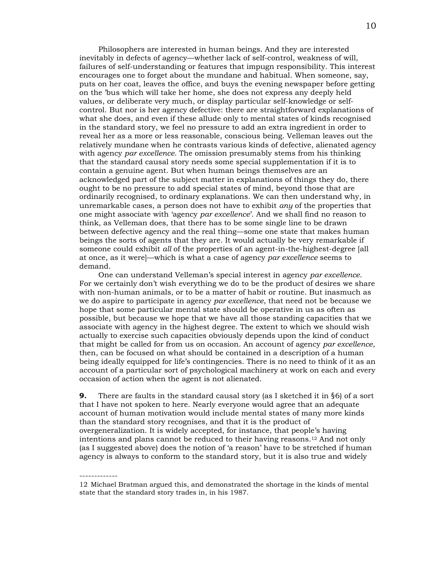Philosophers are interested in human beings. And they are interested inevitably in defects of agency—whether lack of self-control, weakness of will, failures of self-understanding or features that impugn responsibility. This interest encourages one to forget about the mundane and habitual. When someone, say, puts on her coat, leaves the office, and buys the evening newspaper before getting on the 'bus which will take her home, she does not express any deeply held values, or deliberate very much, or display particular self-knowledge or selfcontrol. But nor is her agency defective: there are straightforward explanations of what she does, and even if these allude only to mental states of kinds recognised in the standard story, we feel no pressure to add an extra ingredient in order to reveal her as a more or less reasonable, conscious being. Velleman leaves out the relatively mundane when he contrasts various kinds of defective, alienated agency with agency *par excellence*. The omission presumably stems from his thinking that the standard causal story needs some special supplementation if it is to contain a genuine agent. But when human beings themselves are an acknowledged part of the subject matter in explanations of things they do, there ought to be no pressure to add special states of mind, beyond those that are ordinarily recognised, to ordinary explanations. We can then understand why, in unremarkable cases, a person does not have to exhibit *any* of the properties that one might associate with 'agency *par excellence*'. And we shall find no reason to think, as Velleman does, that there has to be some single line to be drawn between defective agency and the real thing—some one state that makes human beings the sorts of agents that they are. It would actually be very remarkable if someone could exhibit *all* of the properties of an agent-in-the-highest-degree [all at once, as it were]—which is what a case of agency *par excellence* seems to demand.

One can understand Velleman's special interest in agency *par excellence*. For we certainly don't wish everything we do to be the product of desires we share with non-human animals, or to be a matter of habit or routine. But inasmuch as we do aspire to participate in agency *par excellence*, that need not be because we hope that some particular mental state should be operative in us as often as possible, but because we hope that we have all those standing capacities that we associate with agency in the highest degree. The extent to which we should wish actually to exercise such capacities obviously depends upon the kind of conduct that might be called for from us on occasion. An account of agency *par excellence*, then, can be focused on what should be contained in a description of a human being ideally equipped for life's contingencies. There is no need to think of it as an account of a particular sort of psychological machinery at work on each and every occasion of action when the agent is not alienated.

**9.** There are faults in the standard causal story (as I sketched it in §6) of a sort that I have not spoken to here. Nearly everyone would agree that an adequate account of human motivation would include mental states of many more kinds than the standard story recognises, and that it is the product of overgeneralization. It is widely accepted, for instance, that people's having intentions and plans cannot be reduced to their having reasons.12 And not only (as I suggested above) does the notion of 'a reason' have to be stretched if human agency is always to conform to the standard story, but it is also true and widely

<sup>12</sup> Michael Bratman argued this, and demonstrated the shortage in the kinds of mental state that the standard story trades in, in his 1987.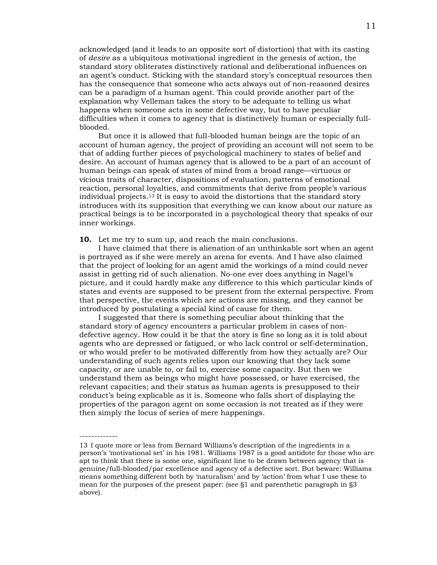acknowledged (and it leads to an opposite sort of distortion) that with its casting of *desire* as a ubiquitous motivational ingredient in the genesis of action, the standard story obliterates distinctively rational and deliberational influences on an agent's conduct. Sticking with the standard story's conceptual resources then has the consequence that someone who acts always out of non-reasoned desires can be a paradigm of a human agent. This could provide another part of the explanation why Velleman takes the story to be adequate to telling us what happens when someone acts in some defective way, but to have peculiar difficulties when it comes to agency that is distinctively human or especially fullblooded.

But once it is allowed that full-blooded human beings are the topic of an account of human agency, the project of providing an account will not seem to be that of adding further pieces of psychological machinery to states of belief and desire. An account of human agency that is allowed to be a part of an account of human beings can speak of states of mind from a broad range—virtuous or vicious traits of character, dispositions of evaluation, patterns of emotional reaction, personal loyalties, and commitments that derive from people's various individual projects.13 It is easy to avoid the distortions that the standard story introduces with its supposition that everything we can know about our nature as practical beings is to be incorporated in a psychological theory that speaks of our inner workings.

**10.** Let me try to sum up, and reach the main conclusions.

-------------

I have claimed that there is alienation of an unthinkable sort when an agent is portrayed as if she were merely an arena for events. And I have also claimed that the project of looking for an agent amid the workings of a mind could never assist in getting rid of such alienation. No-one ever does anything in Nagel's picture, and it could hardly make any difference to this which particular kinds of states and events are supposed to be present from the external perspective. From that perspective, the events which are actions are missing, and they cannot be introduced by postulating a special kind of cause for them.

I suggested that there is something peculiar about thinking that the standard story of agency encounters a particular problem in cases of nondefective agency. How could it be that the story is fine so long as it is told about agents who are depressed or fatigued, or who lack control or self-determination, or who would prefer to be motivated differently from how they actually are? Our understanding of such agents relies upon our knowing that they lack some capacity, or are unable to, or fail to, exercise some capacity. But then we understand them as beings who might have possessed, or have exercised, the relevant capacities; and their status as human agents is presupposed to their conduct's being explicable as it is. Someone who falls short of displaying the properties of the paragon agent on some occasion is not treated as if they were then simply the locus of series of mere happenings.

<sup>13</sup> I quote more or less from Bernard Williams's description of the ingredients in a person's 'motivational set' in his 1981. Williams 1987 is a good antidote for those who are apt to think that there is some one, significant line to be drawn between agency that is genuine/full-blooded/par excellence and agency of a defective sort. But beware: Williams means something different both by 'naturalism' and by 'action' from what I use these to mean for the purposes of the present paper: (see §1 and parenthetic paragraph in §3 above).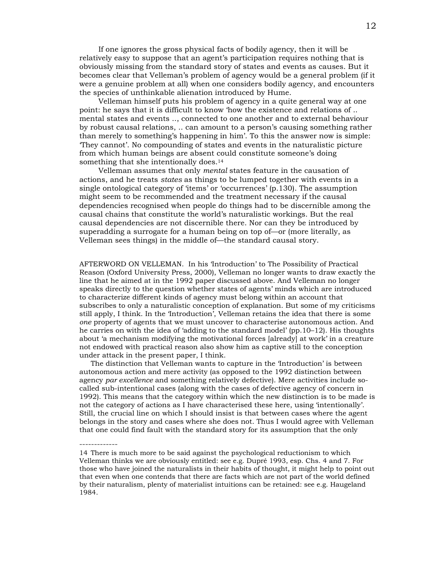If one ignores the gross physical facts of bodily agency, then it will be relatively easy to suppose that an agent's participation requires nothing that is obviously missing from the standard story of states and events as causes. But it becomes clear that Velleman's problem of agency would be a general problem (if it were a genuine problem at all) when one considers bodily agency, and encounters the species of unthinkable alienation introduced by Hume.

Velleman himself puts his problem of agency in a quite general way at one point: he says that it is difficult to know 'how the existence and relations of .. mental states and events .., connected to one another and to external behaviour by robust causal relations, .. can amount to a person's causing something rather than merely to something's happening in him'. To this the answer now is simple: 'They cannot'. No compounding of states and events in the naturalistic picture from which human beings are absent could constitute someone's doing something that she intentionally does.<sup>14</sup>

Velleman assumes that only *mental* states feature in the causation of actions, and he treats *states* as things to be lumped together with events in a single ontological category of 'items' or 'occurrences' (p.130). The assumption might seem to be recommended and the treatment necessary if the causal dependencies recognised when people do things had to be discernible among the causal chains that constitute the world's naturalistic workings. But the real causal dependencies are not discernible there. Nor can they be introduced by superadding a surrogate for a human being on top of—or (more literally, as Velleman sees things) in the middle of—the standard causal story.

AFTERWORD ON VELLEMAN. In his 'Introduction' to The Possibility of Practical Reason (Oxford University Press, 2000), Velleman no longer wants to draw exactly the line that he aimed at in the 1992 paper discussed above. And Velleman no longer speaks directly to the question whether states of agents' minds which are introduced to characterize different kinds of agency must belong within an account that subscribes to only a naturalistic conception of explanation. But some of my criticisms still apply, I think. In the 'Introduction', Velleman retains the idea that there is some *one* property of agents that we must uncover to characterise autonomous action. And he carries on with the idea of 'adding to the standard model' (pp.10–12). His thoughts about 'a mechanism modifying the motivational forces [already] at work' in a creature not endowed with practical reason also show him as captive still to the conception under attack in the present paper, I think.

 The distinction that Velleman wants to capture in the 'Introduction' is between autonomous action and mere activity (as opposed to the 1992 distinction between agency *par excellence* and something relatively defective). Mere activities include socalled sub-intentional cases (along with the cases of defective agency of concern in 1992). This means that the category within which the new distinction is to be made is not the category of actions as I have characterised these here, using 'intentionally'. Still, the crucial line on which I should insist is that between cases where the agent belongs in the story and cases where she does not. Thus I would agree with Velleman that one could find fault with the standard story for its assumption that the only

<sup>14</sup> There is much more to be said against the psychological reductionism to which Velleman thinks we are obviously entitled: see e.g. Dupré 1993, esp. Chs. 4 and 7. For those who have joined the naturalists in their habits of thought, it might help to point out that even when one contends that there are facts which are not part of the world defined by their naturalism, plenty of materialist intuitions can be retained: see e.g. Haugeland 1984.